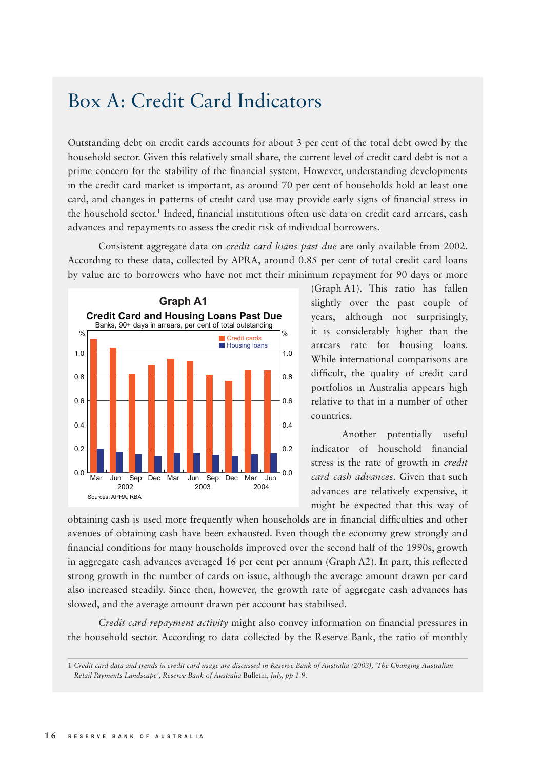## Box A: Credit Card Indicators

Outstanding debt on credit cards accounts for about 3 per cent of the total debt owed by the household sector. Given this relatively small share, the current level of credit card debt is not a prime concern for the stability of the financial system. However, understanding developments in the credit card market is important, as around 70 per cent of households hold at least one card, and changes in patterns of credit card use may provide early signs of financial stress in the household sector.<sup>1</sup> Indeed, financial institutions often use data on credit card arrears, cash advances and repayments to assess the credit risk of individual borrowers.

Consistent aggregate data on *credit card loans past due* are only available from 2002. According to these data, collected by APRA, around 0.85 per cent of total credit card loans by value are to borrowers who have not met their minimum repayment for 90 days or more



(Graph A1). This ratio has fallen slightly over the past couple of years, although not surprisingly, it is considerably higher than the arrears rate for housing loans. While international comparisons are difficult, the quality of credit card portfolios in Australia appears high relative to that in a number of other countries.

Another potentially useful indicator of household financial stress is the rate of growth in *credit card cash advances.* Given that such advances are relatively expensive, it might be expected that this way of

obtaining cash is used more frequently when households are in financial difficulties and other avenues of obtaining cash have been exhausted. Even though the economy grew strongly and financial conditions for many households improved over the second half of the 1990s, growth in aggregate cash advances averaged 16 per cent per annum (Graph  $A2$ ). In part, this reflected strong growth in the number of cards on issue, although the average amount drawn per card also increased steadily. Since then, however, the growth rate of aggregate cash advances has slowed, and the average amount drawn per account has stabilised.

*Credit card repayment activity* might also convey information on financial pressures in the household sector. According to data collected by the Reserve Bank, the ratio of monthly

<sup>1</sup> *Credit card data and trends in credit card usage are discussed in Reserve Bank of Australia (2003), 'The Changing Australian Retail Payments Landscape', Reserve Bank of Australia* Bulletin*, July, pp 1-9.*